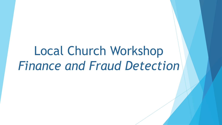# Local Church Workshop *Finance and Fraud Detection*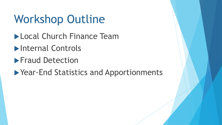#### Workshop Outline

- **Local Church Finance Team**
- **Internal Controls**
- **Fraud Detection**
- ▶ Year-End Statistics and Apportionments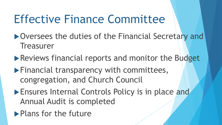#### Effective Finance Committee

- **Deefferry 20 Features of the Financial Secretary and Treasurer**
- **Reviews financial reports and monitor the Budget**
- $\blacktriangleright$  Financial transparency with committees, congregation, and Church Council
- **Ensures Internal Controls Policy is in place and** Annual Audit is completed
- **Plans for the future**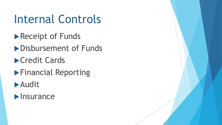#### Internal Controls

- **Receipt of Funds Disbursement of Funds**
- Credit Cards
- **Financial Reporting**
- Audit
- **Insurance**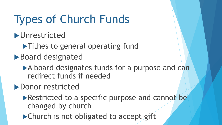# Types of Church Funds

- **Munderstricted** 
	- Tithes to general operating fund
- **Board designated** 
	- A board designates funds for a purpose and can redirect funds if needed
- **Donor restricted** 
	- Restricted to a specific purpose and cannot be changed by church
	- ▶ Church is not obligated to accept gift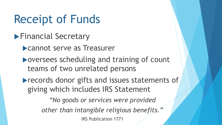#### Receipt of Funds

**Financial Secretary** 

cannot serve as Treasurer

**Poversees scheduling and training of count** teams of two unrelated persons

**Precords donor gifts and issues statements of** giving which includes IRS Statement

> *"No goods or services were provided other than intangible religious benefits."* IRS Publication 1771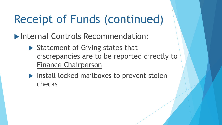## Receipt of Funds (continued)

**Internal Controls Recommendation:** 

- $\triangleright$  Statement of Giving states that discrepancies are to be reported directly to Finance Chairperson
- $\blacktriangleright$  Install locked mailboxes to prevent stolen checks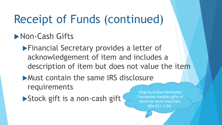### Receipt of Funds (continued)

#### **Non-Cash Gifts**

**Financial Secretary provides a letter of** acknowledgement of item and includes a description of item but does not value the item

- **Must contain the same IRS disclosure** requirements
- Stock gift is a non-cash gift

**Virginia United Methodist** Foundation handles gifts of stock for local churches. 804-521-1120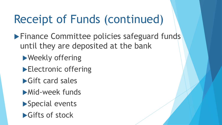## Receipt of Funds (continued)

- **Finance Committee policies safeguard funds** until they are deposited at the bank
	- Weekly offering
	- Electronic offering
	- Gift card sales
	- Mid-week funds
	- Special events
	- **Gifts of stock**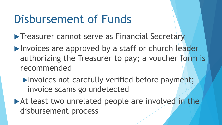#### Disbursement of Funds

- **Treasurer cannot serve as Financial Secretary**
- Invoices are approved by a staff or church leader authorizing the Treasurer to pay; a voucher form is recommended
	- Invoices not carefully verified before payment; invoice scams go undetected
- At least two unrelated people are involved in the disbursement process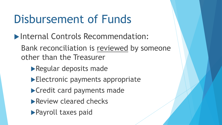### Disbursement of Funds

- **Internal Controls Recommendation:** 
	- Bank reconciliation is reviewed by someone other than the Treasurer
		- Regular deposits made
		- Electronic payments appropriate
		- **Credit card payments made**
		- **Review cleared checks**
		- Payroll taxes paid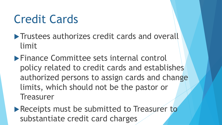#### Credit Cards

- **Trustees authorizes credit cards and overall** limit
- **Finance Committee sets internal control** policy related to credit cards and establishes authorized persons to assign cards and change limits, which should not be the pastor or **Treasurer**
- Receipts must be submitted to Treasurer to substantiate credit card charges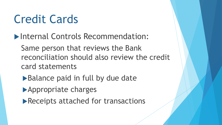#### Credit Cards

#### **Internal Controls Recommendation:**

Same person that reviews the Bank reconciliation should also review the credit card statements

- Balance paid in full by due date
- **Appropriate charges**
- **Receipts attached for transactions**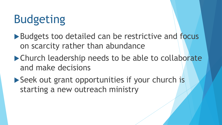# Budgeting

- Budgets too detailed can be restrictive and focus on scarcity rather than abundance
- ▶ Church leadership needs to be able to collaborate and make decisions
- Seek out grant opportunities if your church is starting a new outreach ministry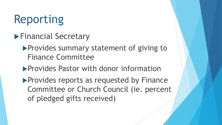### Reporting

- **Financial Secretary** 
	- **Provides summary statement of giving to** Finance Committee
	- **Provides Pastor with donor information**
	- **Provides reports as requested by Finance** Committee or Church Council (ie. percent of pledged gifts received)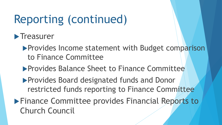## Reporting (continued)

#### $\blacktriangleright$  Treasurer

- **Provides Income statement with Budget comparison** to Finance Committee
- **Provides Balance Sheet to Finance Committee**
- **Provides Board designated funds and Donor** restricted funds reporting to Finance Committee
- **Finance Committee provides Financial Reports to** Church Council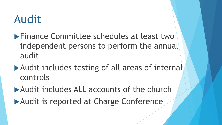#### Audit

- **Finance Committee schedules at least two** independent persons to perform the annual audit
- Audit includes testing of all areas of internal controls
- Audit includes ALL accounts of the church
- ▶ Audit is reported at Charge Conference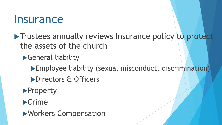#### **Insurance**

- **Trustees annually reviews Insurance policy to protect** the assets of the church
	- **Seneral liability** 
		- Employee liability (sexual misconduct, discrimination)
		- **Directors & Officers**
	- **Property**
	- $\blacktriangleright$ Crime
	- Workers Compensation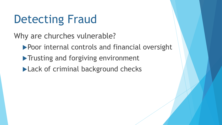#### Detecting Fraud

Why are churches vulnerable?

**Poor internal controls and financial oversight** 

**Trusting and forgiving environment** 

**Lack of criminal background checks**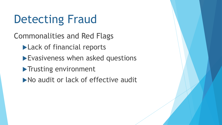### Detecting Fraud

Commonalities and Red Flags

- **Lack of financial reports**
- Evasiveness when asked questions
- **Trusting environment**
- No audit or lack of effective audit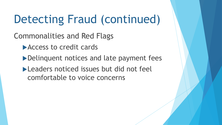#### Detecting Fraud (continued)

Commonalities and Red Flags

- **Access to credit cards**
- ▶Delinquent notices and late payment fees
- **Leaders noticed issues but did not feel** comfortable to voice concerns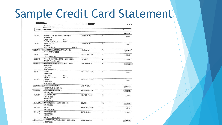#### Sample Credit Card Statement

|           | AND ALL BEC A                                                                                              | Account Ending        |           | p. 4/11    |
|-----------|------------------------------------------------------------------------------------------------------------|-----------------------|-----------|------------|
|           | <b>Detail Continued</b>                                                                                    |                       |           | ×          |
|           |                                                                                                            |                       |           | Amount     |
| 08/23/17  | SPEEDWAY 04626 398 542929802046268<br>5409619244<br>Description<br>Price<br>AUTOMATED FUEL DISP<br>\$26.02 | <b>BLACKSBURG</b>     | VA        | \$26.02    |
| 08/23/17  | <b>FIREHOUSE SUBS</b><br>5409610371<br><b>FOOD/BEVERAGE</b><br>\$37.00                                     | <b>BLACKSBURG</b>     | VA.       | \$37.00    |
| 08/24/17  | The Weight Club Mall 039300979713152<br>CIVIC & SOCIAL ASSOC                                               | Blacksburg            | VA        | \$40.00 in |
| 08/25/17  | <b>TARGET</b><br><b>DISCOUNT STORE</b>                                                                     | CHRISTIANSBURG        | VA        | \$158.09   |
| 08/31/17  | CALABASH NAUTICAL GIFT SH 461682000648<br>ECALLAHAN@ATMC.NET                                               | CALABASH              | <b>NC</b> | \$119.43   |
| 08/31/17  | <b>SUNSET BEACH TRADING COMP 000000001</b><br>9105790194<br>Description<br>REFER TO RECEIPT                | <b>SUNSET BEACH</b>   | NC        | \$61.88    |
| 09/02/17  | <b>KROGER</b><br>8008533033<br>Description<br>Price<br><b>AUTOMATED FUEL</b><br>\$33.24                    | CHRISTIANSBURG        | VA        | \$33.24    |
| 09/02/17  | <b>KROGER</b><br>8008533033<br><b>GROCERY STORES</b>                                                       | CHRISTIANSBURG        | VA        | $$58.60 -$ |
| 09/03/17  | GAP OUTLET US 1024<br>MEN'S/WOMEN'S CLOTHNG                                                                | <b>ALEXANDRIA</b>     | VA        | \$183.50   |
| 09/06/17  | <b>BATH &amp; BODY WORKS 0455</b><br>(540) 384-2887                                                        | <b>CHRISTIANSBURG</b> | VA        | \$109.93   |
| 09/07/17  | EXXONMOBIL 4208<br>540-862-5356<br>Description<br><b>GAS/SERVICES</b>                                      | <b>CLIFTON FORGE</b>  | VA        | \$20.07    |
|           | 09/07/17 LE ONE DELIGHTFUL 832544005621859<br>757-672-5220                                                 | BEVERLY               | MA        | \$29.48    |
| 09/10/17  | TARGET<br><b>DISCOUNT STORE</b>                                                                            | CHRISTIANSBURG        | VA        | $$53.66 -$ |
| 09/10/17. | CHIPOTLE 2971 0012<br>303-595-4000<br><b>Descridtion</b><br><b>FAST FOOD RESTAURAN</b>                     | <b>BLACKSBURG</b>     | VA        | \$10.52    |
| 09/10/17  | LULAROE TANYA LASAGNA 832544005340518<br>540-577-8660                                                      | <b>CHRISTIANSBUR</b>  | VA        | \$304.34   |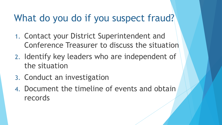#### What do you do if you suspect fraud?

- 1. Contact your District Superintendent and Conference Treasurer to discuss the situation
- 2. Identify key leaders who are independent of the situation
- 3. Conduct an investigation
- 4. Document the timeline of events and obtain records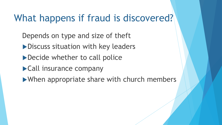#### What happens if fraud is discovered?

Depends on type and size of theft

- Discuss situation with key leaders
- ▶ Decide whether to call police
- Call insurance company
- When appropriate share with church members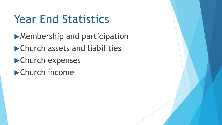#### Year End Statistics

Membership and participation Church assets and liabilities **Church expenses** Church income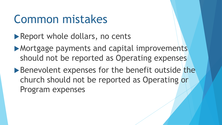#### Common mistakes

- **Report whole dollars, no cents**
- **Mortgage payments and capital improvements** should not be reported as Operating expenses
- ▶ Benevolent expenses for the benefit outside the church should not be reported as Operating or Program expenses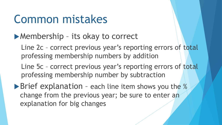#### Common mistakes

- Membership its okay to correct
	- Line 2c correct previous year's reporting errors of total professing membership numbers by addition
	- Line 5c correct previous year's reporting errors of total professing membership number by subtraction
- Brief explanation each line item shows you the % change from the previous year; be sure to enter an explanation for big changes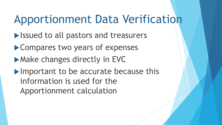#### Apportionment Data Verification

- In Issued to all pastors and treasurers
- ▶ Compares two years of expenses
- **Make changes directly in EVC**
- Important to be accurate because this information is used for the Apportionment calculation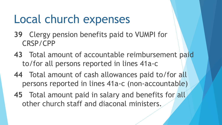#### Local church expenses

- **39** Clergy pension benefits paid to VUMPI for CRSP/CPP
- **43** Total amount of accountable reimbursement paid to/for all persons reported in lines 41a-c
- **44** Total amount of cash allowances paid to/for all persons reported in lines 41a-c (non-accountable)
- **45** Total amount paid in salary and benefits for all other church staff and diaconal ministers.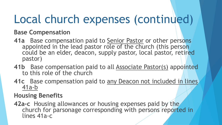## Local church expenses (continued)

#### **Base Compensation**

- 41a Base compensation paid to Senior Pastor or other persons appointed in the lead pastor role of the church (this person) could be an elder, deacon, supply pastor, local pastor, retired pastor)
- **41b** Base compensation paid to all Associate Pastor(s) appointed to this role of the church
- **41c** Base compensation paid to any Deacon not included in lines 41a-b

#### **Housing Benefits**

**42a-c** Housing allowances or housing expenses paid by the church for parsonage corresponding with persons reported in lines 41a-c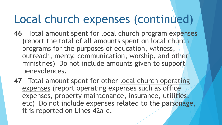#### Local church expenses (continued)

- **46** Total amount spent for local church program expenses (report the total of all amounts spent on local church programs for the purposes of education, witness, outreach, mercy, communication, worship, and other ministries) Do not include amounts given to support benevolences.
- **47** Total amount spent for other local church operating expenses (report operating expenses such as office expenses, property maintenance, insurance, utilities, etc) Do not include expenses related to the parsonage, it is reported on Lines 42a-c.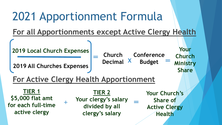#### 2021 Apportionment Formula

**For all Apportionments except Active Clergy Health**

**2019 Local Church Expenses**

**2019 All Churches Expenses**

 $+$ 

= **Church**

**Conference** Decimal X Budget =

**Your Church Ministry Share**

**For Active Clergy Health Apportionment**

**TIER 1 \$5,000 flat amt for each full-time active clergy**

**TIER 2** Your clergy's salary = **divided by all clergy's salary**

**Your Church's Share of Active Clergy Health**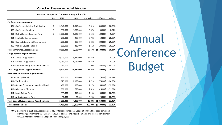| <b>Council on Finance and Administration</b><br>SECTION I - Approved Conference Budget for 2021 |   |            |                          |         |                |             |  |  |  |  |
|-------------------------------------------------------------------------------------------------|---|------------|--------------------------|---------|----------------|-------------|--|--|--|--|
|                                                                                                 |   |            |                          |         |                |             |  |  |  |  |
| <b>Conference Apportionments</b>                                                                |   |            |                          |         |                |             |  |  |  |  |
| 401 - Conference Mission & Ministries                                                           | Α | 3,140,000  | 2,510,000                | 9.01%   | (630,000)      | $-20.06%$   |  |  |  |  |
| 402 - Conference Services                                                                       | B | 1,990,000  | 1,830,000                | 6.57%   | (160,000)      | $-8.04%$    |  |  |  |  |
| 403 - District Superintendents Fund                                                             |   | 2,000,000  | 1,820,000                | 6.54%   | (180,000)      | $-9.00%$    |  |  |  |  |
| 404 - Equitable Compensation                                                                    |   | 250,000    | 200,000                  | 0.72%   | (50,000)       | $-20.00%$   |  |  |  |  |
| 405 - Church Extension & Development                                                            |   | 1,200,000  | 900,000                  | 3.22%   | (300,000)      | $-25.00%$   |  |  |  |  |
| 406 - Virginia Education Fund                                                                   |   | 600,000    | 420,000                  | 1.51%   | (180,000)      | $-30.00%$   |  |  |  |  |
| <b>Total Conference Apportionments</b>                                                          |   | 9,180,000  | 7,680,000                | 27.57%  | (1,500,000)    | $-16.34%$   |  |  |  |  |
| <b>Clergy Benefits Apportionments</b>                                                           |   |            |                          |         |                |             |  |  |  |  |
| 407 - Active Clergy Health                                                                      |   | 9,710,000  | 9,710,000                | 34.87%  | $\overline{a}$ | 0.00%       |  |  |  |  |
| 408 - Retired Clergy Health                                                                     |   | 6,060,000  | 6,060,000                | 21.76%  | $\overline{a}$ | 0.00%       |  |  |  |  |
| 409 - Pension Liability Assessment - Pre 82                                                     |   | 750,000    | $\overline{\phantom{a}}$ | 0.00%   | (750,000)      | $-100.00\%$ |  |  |  |  |
| <b>Total Clergy Benefit Apportionments</b>                                                      |   | 16,520,000 | 15,770,000               | 56.63%  | (750,000)      | $-4.54%$    |  |  |  |  |
| <b>General &amp; Jurisdictional Apportionments</b>                                              |   |            |                          |         |                |             |  |  |  |  |
| 410 - Episcopal Fund                                                                            |   | 870,000    | 865,000                  | 3.11%   | (5,000)        | $-0.57%$    |  |  |  |  |
| 411 - World Service                                                                             |   | 2,925,000  | 2,150,000                | 7.72%   | (775,000)      | $-26.50%$   |  |  |  |  |
| 412 - General & Interdenominational Fund                                                        |   | 480,000    | 325,000                  | 1.17%   | (155,000)      | $-32.29%$   |  |  |  |  |
| 413 - Ministerial Education                                                                     |   | 990,000    | 675,000                  | 2.42%   | (315,000)      | $-31.82%$   |  |  |  |  |
| 414 - Black College Fund                                                                        |   | 395,000    | 315,000                  | 1.13%   | (80,000)       | $-20.25%$   |  |  |  |  |
| 415 - Africa University Fund                                                                    |   | 90,000     | 70,000                   | 0.25%   | (20,000)       | $-22.22%$   |  |  |  |  |
| <b>Total General &amp; Jurisdictional Apportionments</b>                                        |   | 5,750,000  | 4,400,000                | 15.80%  | (1,350,000)    | $-23.48%$   |  |  |  |  |
| <b>Total Apportionments</b>                                                                     |   | 31,450,000 | 27,850,000               | 100.00% | (3,600,000)    | $-11.45%$   |  |  |  |  |

**NOTE:** Beginning in 2021, the Apportionment 416 - Interdenominational Cooperation Fund has been combined with the Apportionment 412 - General and Jurisdictional Fund Apportionment. The total apportionment for 2021 Interdenominational Cooperation Fund is \$10,000.

Annual Conference Budget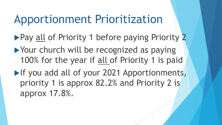#### Apportionment Prioritization

- **Pay all of Priority 1 before paying Priority 2**
- ▶ Your church will be recognized as paying 100% for the year if all of Priority 1 is paid
- If you add all of your 2021 Apportionments, priority 1 is approx 82.2% and Priority 2 is approx 17.8%.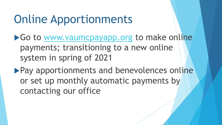#### Online Apportionments

- ▶Go to [www.vaumcpayapp.org](http://www.vaumcpayapp.org/) to make online payments; transitioning to a new online system in spring of 2021
- **Pay apportionments and benevolences online** or set up monthly automatic payments by contacting our office